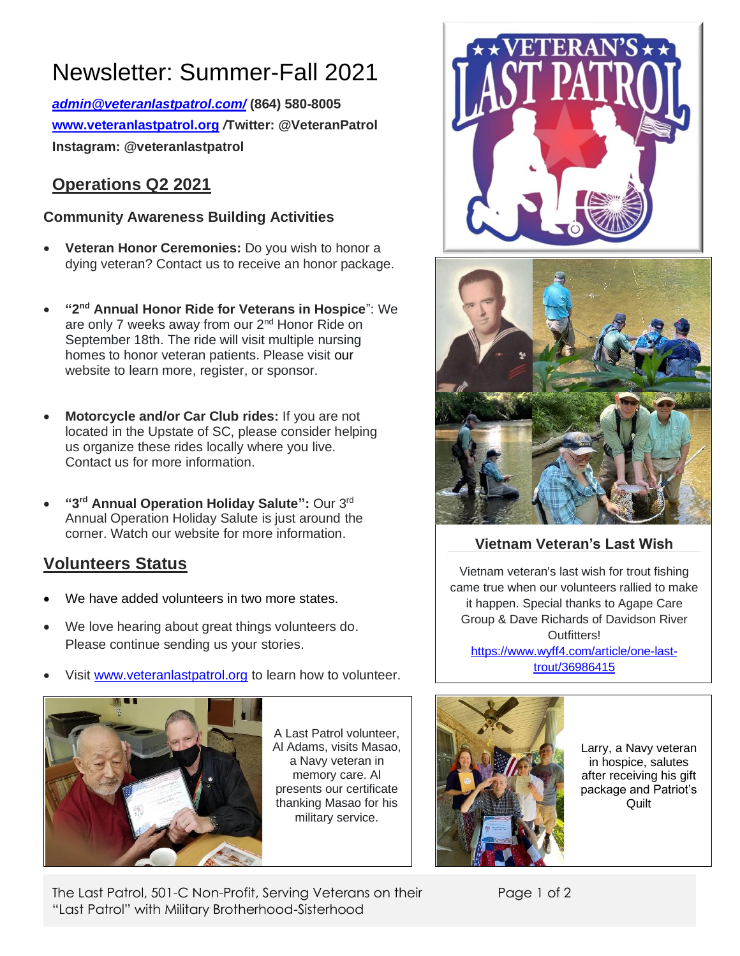# Newsletter: Summer-Fall 2021

*[admin@veteranlastpatrol.com/](mailto:admin@veteranlastpatrol.com/)* **(864) 580-8005 [www.veteranlastpatrol.org](http://www.veteranlastpatrol.org/)** */***Twitter: @VeteranPatrol Instagram: @veteranlastpatrol**

## **Operations Q2 2021**

### **Community Awareness Building Activities**

- **Veteran Honor Ceremonies:** Do you wish to honor a dying veteran? Contact us to receive an honor package.
- **"2 nd Annual Honor Ride for Veterans in Hospice**": We are only 7 weeks away from our 2<sup>nd</sup> Honor Ride on September 18th. The ride will visit multiple nursing homes to honor veteran patients. Please visit [our](http://www.veteranlastpatrol.org/) website to learn more, register, or sponsor.
- **Motorcycle and/or Car Club rides:** If you are not located in the Upstate of SC, please consider helping us organize these rides locally where you live. Contact us for more information.
- **"3 rd Annual Operation Holiday Salute":** Our 3rd Annual Operation Holiday Salute is just around the corner. Watch our website for more information.

# **Volunteers Status**

- We have added volunteers in two more states.
- We love hearing about great things volunteers do. Please continue sending us your stories.
- Visit [www.veteranlastpatrol.org](http://www.veteranlastpatrol.org/) to learn how to volunteer.



A Last Patrol volunteer, Al Adams, visits Masao, a Navy veteran in memory care. Al presents our certificate thanking Masao for his military service.





## **Vietnam Veteran's Last Wish**

Vietnam veteran's last wish for trout fishing came true when our volunteers rallied to make it happen. Special thanks to Agape Care Group & Dave Richards of Davidson River **Outfitters!** [https://www.wyff4.com/article/one-last](https://www.wyff4.com/article/one-last-trout/36986415)[trout/36986415](https://www.wyff4.com/article/one-last-trout/36986415)



Larry, a Navy veteran in hospice, salutes after receiving his gift package and Patriot's Quilt

The Last Patrol, 501-C Non-Profit, Serving Veterans on their "Last Patrol" with Military Brotherhood-Sisterhood

Page 1 of 2